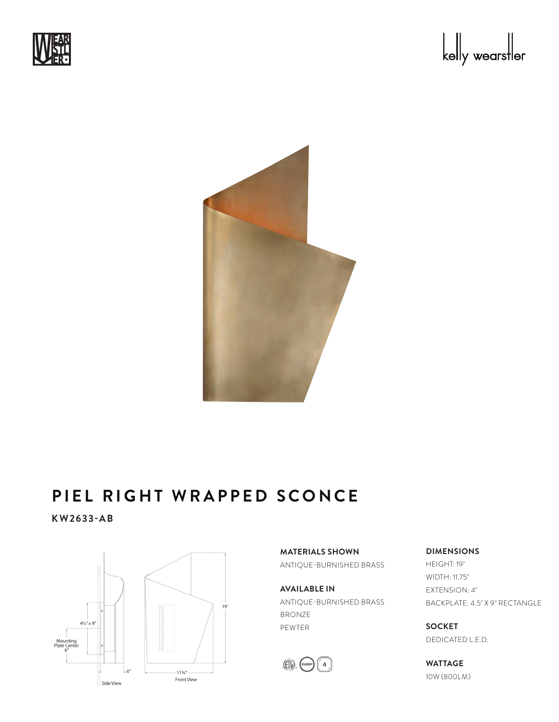





### PIEL RIGHT WRAPPED SCONCE PIEL

**KW2633-AB**



**MATERIALS SHOWN** ANTIQUE-BURNISHED BRASS

**AVAILABLE IN** ANTIQUE-BURNISHED BRASS BRONZE PEWTER



**DIMENSIONS**

HEIGHT: 19" WIDTH: 11.75" EXTENSION: 4" BACKPLATE: 4.5" X 9" RECTANGLE

**SOCKET** DEDICATED L.E.D.

**WATTAGE** 10W (800LM)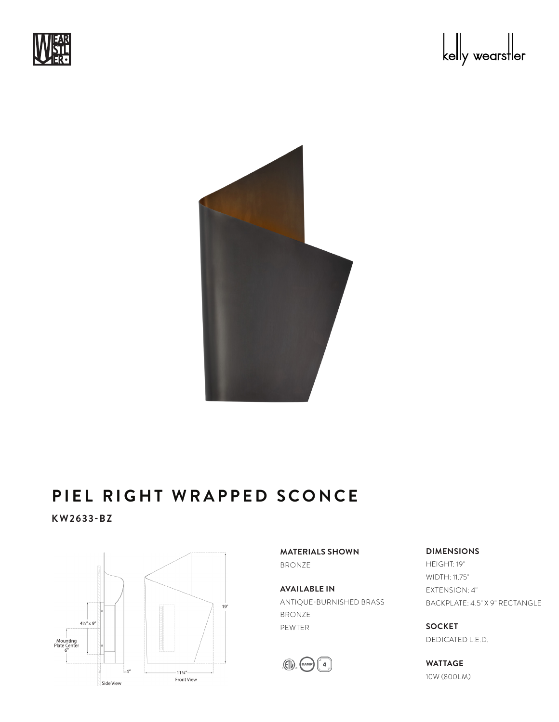





### PIEL RIGHT WRAPPED SCONCE PIEL

**KW2633-BZ**



**MATERIALS SHOWN** BRONZE

**AVAILABLE IN** ANTIQUE-BURNISHED BRASS BRONZE PEWTER



**DIMENSIONS**

HEIGHT: 19" WIDTH: 11.75" EXTENSION: 4" BACKPLATE: 4.5" X 9" RECTANGLE

**SOCKET** DEDICATED L.E.D.

**WATTAGE** 10W (800LM)